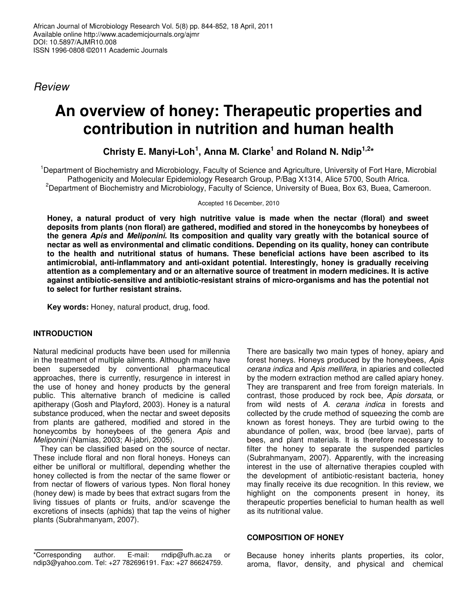*Review*

# **An overview of honey: Therapeutic properties and contribution in nutrition and human health**

**Christy E. Manyi-Loh 1 , Anna M. Clarke 1 and Roland N. Ndip 1,2 \***

<sup>1</sup>Department of Biochemistry and Microbiology, Faculty of Science and Agriculture, University of Fort Hare, Microbial Pathogenicity and Molecular Epidemiology Research Group, P/Bag X1314, Alice 5700, South Africa. <sup>2</sup>Department of Biochemistry and Microbiology, Faculty of Science, University of Buea, Box 63, Buea, Cameroon.

Accepted 16 December, 2010

**Honey, a natural product of very high nutritive value is made when the nectar (floral) and sweet deposits from plants (non floral) are gathered, modified and stored in the honeycombs by honeybees of the genera** *Apis* **and** *Meliponini.* **Its composition and quality vary greatly with the botanical source of nectar as well as environmental and climatic conditions. Depending on its quality, honey can contribute to the health and nutritional status of humans. These beneficial actions have been ascribed to its antimicrobial, anti-inflammatory and anti-oxidant potential. Interestingly, honey is gradually receiving attention as a complementary and or an alternative source of treatment in modern medicines. It is active against antibiotic-sensitive and antibiotic-resistant strains of micro-organisms and has the potential not to select for further resistant strains.**

**Key words:** Honey, natural product, drug, food.

## **INTRODUCTION**

Natural medicinal products have been used for millennia in the treatment of multiple ailments. Although many have been superseded by conventional pharmaceutical approaches, there is currently, resurgence in interest in the use of honey and honey products by the general public. This alternative branch of medicine is called apitherapy (Gosh and Playford, 2003). Honey is a natural substance produced, when the nectar and sweet deposits from plants are gathered, modified and stored in the honeycombs by honeybees of the genera *Apis* and *Meliponini* (Namias, 2003; Al-jabri, 2005).

They can be classified based on the source of nectar. These include floral and non floral honeys. Honeys can either be unifloral or multifloral, depending whether the honey collected is from the nectar of the same flower or from nectar of flowers of various types. Non floral honey (honey dew) is made by bees that extract sugars from the living tissues of plants or fruits, and/or scavenge the excretions of insects (aphids) that tap the veins of higher plants (Subrahmanyam, 2007).

There are basically two main types of honey, apiary and forest honeys. Honeys produced by the honeybees, *Apis cerana indica* and *Apis mellifera*, in apiaries and collected by the modern extraction method are called apiary honey. They are transparent and free from foreign materials. In contrast, those produced by rock bee, *Apis dorsata*, or from wild nests of *A. cerana indica* in forests and collected by the crude method of squeezing the comb are known as forest honeys. They are turbid owing to the abundance of pollen, wax, brood (bee larvae), parts of bees, and plant materials. It is therefore necessary to filter the honey to separate the suspended particles (Subrahmanyam, 2007). Apparently, with the increasing interest in the use of alternative therapies coupled with the development of antibiotic-resistant bacteria, honey may finally receive its due recognition. In this review, we highlight on the components present in honey, its therapeutic properties beneficial to human health as well as its nutritional value.

#### **COMPOSITION OF HONEY**

Because honey inherits plants properties, its color, aroma, flavor, density, and physical and chemical

<sup>\*</sup>Corresponding author. E-mail: rndip@ufh.ac.za or ndip3@yahoo.com. Tel: +27 782696191. Fax: +27 86624759.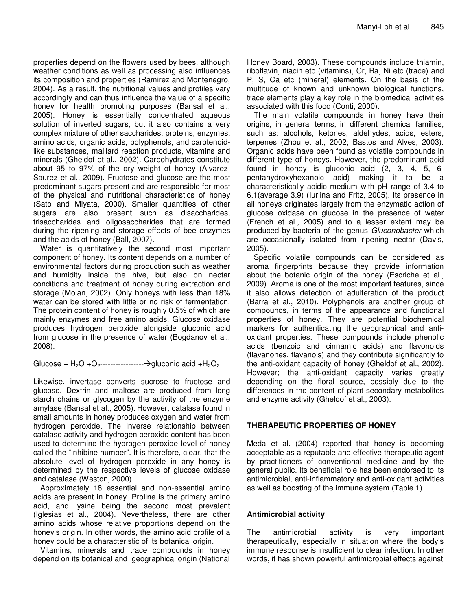properties depend on the flowers used by bees, although weather conditions as well as processing also influences its composition and properties (Ramirez and Montenegro, 2004). As a result, the nutritional values and profiles vary accordingly and can thus influence the value of a specific honey for health promoting purposes (Bansal et al., 2005). Honey is essentially concentrated aqueous solution of inverted sugars, but it also contains a very complex mixture of other saccharides, proteins, enzymes, amino acids, organic acids, polyphenols, and carotenoidlike substances, maillard reaction products, vitamins and minerals (Gheldof et al., 2002). Carbohydrates constitute about 95 to 97% of the dry weight of honey (Alvarez-Saurez et al., 2009). Fructose and glucose are the most predominant sugars present and are responsible for most of the physical and nutritional characteristics of honey (Sato and Miyata, 2000). Smaller quantities of other sugars are also present such as disaccharides, trisaccharides and oligosaccharides that are formed during the ripening and storage effects of bee enzymes and the acids of honey (Ball, 2007).

Water is quantitatively the second most important component of honey. Its content depends on a number of environmental factors during production such as weather and humidity inside the hive, but also on nectar conditions and treatment of honey during extraction and storage (Molan, 2002). Only honeys with less than 18% water can be stored with little or no risk of fermentation. The protein content of honey is roughly 0.5% of which are mainly enzymes and free amino acids. Glucose oxidase produces hydrogen peroxide alongside gluconic acid from glucose in the presence of water (Bogdanov et al., 2008).

Glucose + H2O +O2-----------------gluconic acid +H2O<sup>2</sup>

Likewise, invertase converts sucrose to fructose and glucose. Dextrin and maltose are produced from long starch chains or glycogen by the activity of the enzyme amylase (Bansal et al., 2005). However, catalase found in small amounts in honey produces oxygen and water from hydrogen peroxide. The inverse relationship between catalase activity and hydrogen peroxide content has been used to determine the hydrogen peroxide level of honey called the "inhibine number". It is therefore, clear, that the absolute level of hydrogen peroxide in any honey is determined by the respective levels of glucose oxidase and catalase (Weston, 2000).

Approximately 18 essential and non-essential amino acids are present in honey. Proline is the primary amino acid, and lysine being the second most prevalent (Iglesias et al., 2004). Nevertheless, there are other amino acids whose relative proportions depend on the honey's origin. In other words, the amino acid profile of a honey could be a characteristic of its botanical origin.

Vitamins, minerals and trace compounds in honey depend on its botanical and geographical origin (National Honey Board, 2003). These compounds include thiamin, riboflavin, niacin etc (vitamins), Cr, Ba, Ni etc (trace) and P, S, Ca etc (mineral) elements. On the basis of the multitude of known and unknown biological functions, trace elements play a key role in the biomedical activities associated with this food (Conti, 2000).

The main volatile compounds in honey have their origins, in general terms, in different chemical families, such as: alcohols, ketones, aldehydes, acids, esters, terpenes (Zhou et al., 2002; Bastos and Alves, 2003). Organic acids have been found as volatile compounds in different type of honeys. However, the predominant acid found in honey is gluconic acid (2, 3, 4, 5, 6 pentahydroxyhexanoic acid) making it to be a characteristically acidic medium with pH range of 3.4 to 6.1(average 3.9) (Iurlina and Fritz, 2005). Its presence in all honeys originates largely from the enzymatic action of glucose oxidase on glucose in the presence of water (French et al., 2005) and to a lesser extent may be produced by bacteria of the genus *Gluconobacter* which are occasionally isolated from ripening nectar (Davis, 2005).

Specific volatile compounds can be considered as aroma fingerprints because they provide information about the botanic origin of the honey (Escriche et al., 2009). Aroma is one of the most important features, since it also allows detection of adulteration of the product (Barra et al., 2010). Polyphenols are another group of compounds, in terms of the appearance and functional properties of honey. They are potential biochemical markers for authenticating the geographical and antioxidant properties. These compounds include phenolic acids (benzoic and cinnamic acids) and flavonoids (flavanones, flavanols) and they contribute significantly to the anti-oxidant capacity of honey (Gheldof et al., 2002). However; the anti-oxidant capacity varies greatly depending on the floral source, possibly due to the differences in the content of plant secondary metabolites and enzyme activity (Gheldof et al., 2003).

## **THERAPEUTIC PROPERTIES OF HONEY**

Meda et al. (2004) reported that honey is becoming acceptable as a reputable and effective therapeutic agent by practitioners of conventional medicine and by the general public. Its beneficial role has been endorsed to its antimicrobial, anti-inflammatory and anti-oxidant activities as well as boosting of the immune system (Table 1).

## **Antimicrobial activity**

The antimicrobial activity is very important therapeutically, especially in situation where the body's immune response is insufficient to clear infection. In other words, it has shown powerful antimicrobial effects against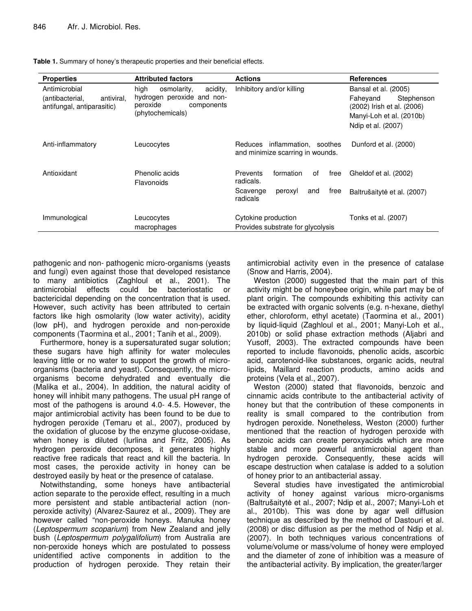| <b>Properties</b>                                                            | <b>Attributed factors</b>                                                                                   | <b>Actions</b>                                                                                | <b>References</b>                                                                                                              |
|------------------------------------------------------------------------------|-------------------------------------------------------------------------------------------------------------|-----------------------------------------------------------------------------------------------|--------------------------------------------------------------------------------------------------------------------------------|
| Antimicrobial<br>antiviral.<br>(antibacterial,<br>antifungal, antiparasitic) | high<br>osmolarity,<br>acidity.<br>hydrogen peroxide and non-<br>peroxide<br>components<br>(phytochemicals) | Inhibitory and/or killing                                                                     | Bansal et al. (2005)<br>Faheyand<br>Stephenson<br>(2002) Irish et al. (2006)<br>Manyi-Loh et al. (2010b)<br>Ndip et al. (2007) |
| Anti-inflammatory                                                            | Leucocytes                                                                                                  | Reduces inflammation, soothes<br>and minimize scarring in wounds.                             | Dunford et al. (2000)                                                                                                          |
| Antioxidant                                                                  | Phenolic acids<br>Flavonoids                                                                                | formation<br><b>Prevents</b><br>free<br>οf<br>radicals.<br>Scavenge<br>peroxyl<br>and<br>free | Gheldof et al. (2002)<br>Baltrušaitytė et al. (2007)                                                                           |
| Immunological                                                                | Leucocytes<br>macrophages                                                                                   | radicals<br>Cytokine production<br>Provides substrate for glycolysis                          | Tonks et al. (2007)                                                                                                            |

**Table 1.** Summary of honey's therapeutic properties and their beneficial effects.

pathogenic and non- pathogenic micro-organisms (yeasts and fungi) even against those that developed resistance to many antibiotics (Zaghloul et al., 2001). The antimicrobial effects could be bacteriostatic or bactericidal depending on the concentration that is used. However, such activity has been attributed to certain factors like high osmolarity (low water activity), acidity (low pH), and hydrogen peroxide and non-peroxide components (Taormina et al., 2001; Tanih et al., 2009).

Furthermore, honey is a supersaturated sugar solution; these sugars have high affinity for water molecules leaving little or no water to support the growth of microorganisms (bacteria and yeast). Consequently, the microorganisms become dehydrated and eventually die (Malika et al., 2004). In addition, the natural acidity of honey will inhibit many pathogens. The usual pH range of most of the pathogens is around 4.0- 4.5. However, the major antimicrobial activity has been found to be due to hydrogen peroxide (Temaru et al., 2007), produced by the oxidation of glucose by the enzyme glucose-oxidase, when honey is diluted (Iurlina and Fritz, 2005). As hydrogen peroxide decomposes, it generates highly reactive free radicals that react and kill the bacteria. In most cases, the peroxide activity in honey can be destroyed easily by heat or the presence of catalase.

Notwithstanding, some honeys have antibacterial action separate to the peroxide effect, resulting in a much more persistent and stable antibacterial action (nonperoxide activity) (Alvarez-Saurez et al., 2009). They are however called "non-peroxide honeys. Manuka honey (*Leptospermum scoparium*) from New Zealand and jelly bush (*Leptospermum polygalifolium*) from Australia are non-peroxide honeys which are postulated to possess unidentified active components in addition to the production of hydrogen peroxide. They retain their

antimicrobial activity even in the presence of catalase (Snow and Harris, 2004).

Weston (2000) suggested that the main part of this activity might be of honeybee origin, while part may be of plant origin. The compounds exhibiting this activity can be extracted with organic solvents (e.g. n-hexane, diethyl ether, chloroform, ethyl acetate) (Taormina et al., 2001) by liquid-liquid (Zaghloul et al., 2001; Manyi-Loh et al., 2010b) or solid phase extraction methods (Aljabri and Yusoff, 2003). The extracted compounds have been reported to include flavonoids, phenolic acids, ascorbic acid, carotenoid-like substances, organic acids, neutral lipids, Maillard reaction products, amino acids and proteins (Vela et al., 2007).

Weston (2000) stated that flavonoids, benzoic and cinnamic acids contribute to the antibacterial activity of honey but that the contribution of these components in reality is small compared to the contribution from hydrogen peroxide. Nonetheless, Weston (2000) further mentioned that the reaction of hydrogen peroxide with benzoic acids can create peroxyacids which are more stable and more powerful antimicrobial agent than hydrogen peroxide. Consequently, these acids will escape destruction when catalase is added to a solution of honey prior to an antibacterial assay.

Several studies have investigated the antimicrobial activity of honey against various micro-organisms (Baltrušaitytė et al., 2007; Ndip et al., 2007; Manyi-Loh et al., 2010b). This was done by agar well diffusion technique as described by the method of Dastouri et al. (2008) or disc diffusion as per the method of Ndip et al. (2007). In both techniques various concentrations of volume/volume or mass/volume of honey were employed and the diameter of zone of inhibition was a measure of the antibacterial activity. By implication, the greater/larger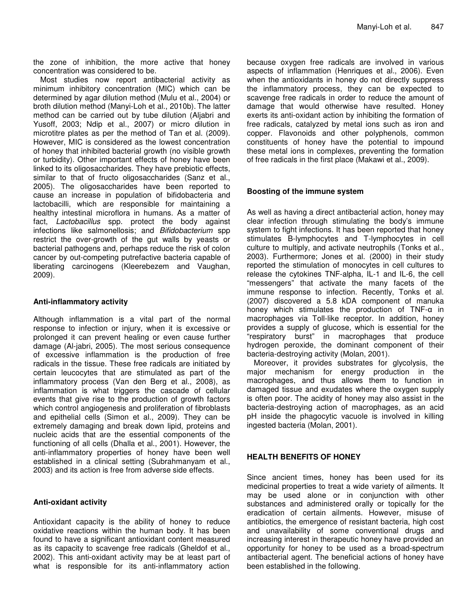the zone of inhibition, the more active that honey concentration was considered to be.

Most studies now report antibacterial activity as minimum inhibitory concentration (MIC) which can be determined by agar dilution method (Mulu et al., 2004) or broth dilution method (Manyi-Loh et al., 2010b). The latter method can be carried out by tube dilution (Aljabri and Yusoff, 2003; Ndip et al., 2007) or micro dilution in microtitre plates as per the method of Tan et al. (2009). However, MIC is considered as the lowest concentration of honey that inhibited bacterial growth (no visible growth or turbidity). Other important effects of honey have been linked to its oligosaccharides. They have prebiotic effects, similar to that of fructo oligosaccharides (Sanz et al., 2005). The oligosaccharides have been reported to cause an increase in population of bifidobacteria and lactobacilli, which are responsible for maintaining a healthy intestinal microflora in humans. As a matter of fact, *Lactobacillus* spp. protect the body against infections like salmonellosis; and *Bifidobacterium* spp restrict the over-growth of the gut walls by yeasts or bacterial pathogens and, perhaps reduce the risk of colon cancer by out-competing putrefactive bacteria capable of liberating carcinogens (Kleerebezem and Vaughan, 2009).

#### **Anti-inflammatory activity**

Although inflammation is a vital part of the normal response to infection or injury, when it is excessive or prolonged it can prevent healing or even cause further damage (Al-jabri, 2005). The most serious consequence of excessive inflammation is the production of free radicals in the tissue. These free radicals are initiated by certain leucocytes that are stimulated as part of the inflammatory process (Van den Berg et al., 2008), as inflammation is what triggers the cascade of cellular events that give rise to the production of growth factors which control angiogenesis and proliferation of fibroblasts and epithelial cells (Simon et al., 2009). They can be extremely damaging and break down lipid, proteins and nucleic acids that are the essential components of the functioning of all cells (Dhalla et al., 2001). However, the anti-inflammatory properties of honey have been well established in a clinical setting (Subrahmanyam et al., 2003) and its action is free from adverse side effects.

#### **Anti-oxidant activity**

Antioxidant capacity is the ability of honey to reduce oxidative reactions within the human body. It has been found to have a significant antioxidant content measured as its capacity to scavenge free radicals (Gheldof et al., 2002). This anti-oxidant activity may be at least part of what is responsible for its anti-inflammatory action because oxygen free radicals are involved in various aspects of inflammation (Henriques et al., 2006). Even when the antioxidants in honey do not directly suppress the inflammatory process, they can be expected to scavenge free radicals in order to reduce the amount of damage that would otherwise have resulted. Honey exerts its anti-oxidant action by inhibiting the formation of free radicals, catalyzed by metal ions such as iron and copper. Flavonoids and other polyphenols, common constituents of honey have the potential to impound these metal ions in complexes, preventing the formation of free radicals in the first place (Makawi et al., 2009).

#### **Boosting of the immune system**

As well as having a direct antibacterial action, honey may clear infection through stimulating the body's immune system to fight infections. It has been reported that honey stimulates B-lymphocytes and T-lymphocytes in cell culture to multiply, and activate neutrophils (Tonks et al., 2003). Furthermore; Jones et al. (2000) in their study reported the stimulation of monocytes in cell cultures to release the cytokines TNF-alpha, IL-1 and IL-6, the cell "messengers" that activate the many facets of the immune response to infection. Recently, Tonks et al. (2007) discovered a 5.8 kDA component of manuka honey which stimulates the production of  $TNF-\alpha$  in macrophages via Toll-like receptor. In addition, honey provides a supply of glucose, which is essential for the "respiratory burst" in macrophages that produce hydrogen peroxide, the dominant component of their bacteria-destroying activity (Molan, 2001).

Moreover, it provides substrates for glycolysis, the major mechanism for energy production in the macrophages, and thus allows them to function in damaged tissue and exudates where the oxygen supply is often poor. The acidity of honey may also assist in the bacteria-destroying action of macrophages, as an acid pH inside the phagocytic vacuole is involved in killing ingested bacteria (Molan, 2001).

#### **HEALTH BENEFITS OF HONEY**

Since ancient times, honey has been used for its medicinal properties to treat a wide variety of ailments. It may be used alone or in conjunction with other substances and administered orally or topically for the eradication of certain ailments. However, misuse of antibiotics, the emergence of resistant bacteria, high cost and unavailability of some conventional drugs and increasing interest in therapeutic honey have provided an opportunity for honey to be used as a broad-spectrum antibacterial agent. The beneficial actions of honey have been established in the following.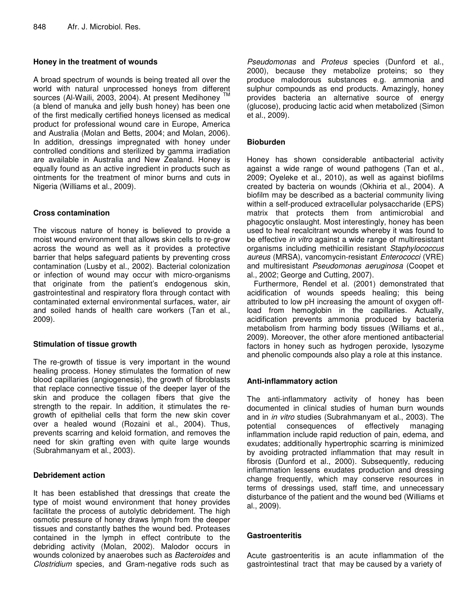## **Honey in the treatment of wounds**

A broad spectrum of wounds is being treated all over the world with natural unprocessed honeys from different sources (Al-Waili, 2003, 2004). At present Medihoney TM (a blend of manuka and jelly bush honey) has been one of the first medically certified honeys licensed as medical product for professional wound care in Europe, America and Australia (Molan and Betts, 2004; and Molan, 2006). In addition, dressings impregnated with honey under controlled conditions and sterilized by gamma irradiation are available in Australia and New Zealand. Honey is equally found as an active ingredient in products such as ointments for the treatment of minor burns and cuts in Nigeria (Williams et al., 2009).

## **Cross contamination**

The viscous nature of honey is believed to provide a moist wound environment that allows skin cells to re-grow across the wound as well as it provides a protective barrier that helps safeguard patients by preventing cross contamination (Lusby et al., 2002). Bacterial colonization or infection of wound may occur with micro-organisms that originate from the patient's endogenous skin, gastrointestinal and respiratory flora through contact with contaminated external environmental surfaces, water, air and soiled hands of health care workers (Tan et al., 2009).

## **Stimulation of tissue growth**

The re-growth of tissue is very important in the wound healing process. Honey stimulates the formation of new blood capillaries (angiogenesis), the growth of fibroblasts that replace connective tissue of the deeper layer of the skin and produce the collagen fibers that give the strength to the repair. In addition, it stimulates the regrowth of epithelial cells that form the new skin cover over a healed wound (Rozaini et al., 2004). Thus, prevents scarring and keloid formation, and removes the need for skin grafting even with quite large wounds (Subrahmanyam et al., 2003).

## **Debridement action**

It has been established that dressings that create the type of moist wound environment that honey provides facilitate the process of autolytic debridement. The high osmotic pressure of honey draws lymph from the deeper tissues and constantly bathes the wound bed. Proteases contained in the lymph in effect contribute to the debriding activity (Molan, 2002). Malodor occurs in wounds colonized by anaerobes such as *Bacteroides* and *Clostridium* species, and Gram-negative rods such as

*Pseudomonas* and *Proteus* species (Dunford et al., 2000), because they metabolize proteins; so they produce malodorous substances e.g. ammonia and sulphur compounds as end products. Amazingly, honey provides bacteria an alternative source of energy (glucose), producing lactic acid when metabolized (Simon et al., 2009).

## **Bioburden**

Honey has shown considerable antibacterial activity against a wide range of wound pathogens (Tan et al., 2009; Oyeleke et al., 2010), as well as against biofilms created by bacteria on wounds (Okhiria et al., 2004). A biofilm may be described as a bacterial community living within a self-produced extracellular polysaccharide (EPS) matrix that protects them from antimicrobial and phagocytic onslaught. Most interestingly, honey has been used to heal recalcitrant wounds whereby it was found to be effective *in vitro* against a wide range of multiresistant organisms including methicillin resistant *Staphylococcus aureus* (MRSA), vancomycin-resistant *Enterococci* (VRE) and multiresistant *Pseudomonas aeruginosa* (Coopet et al., 2002; George and Cutting, 2007).

Furthermore, Rendel et al. (2001) demonstrated that acidification of wounds speeds healing; this being attributed to low pH increasing the amount of oxygen offload from hemoglobin in the capillaries. Actually, acidification prevents ammonia produced by bacteria metabolism from harming body tissues (Williams et al., 2009). Moreover, the other afore mentioned antibacterial factors in honey such as hydrogen peroxide, lysozyme and phenolic compounds also play a role at this instance.

## **Anti-inflammatory action**

The anti-inflammatory activity of honey has been documented in clinical studies of human burn wounds and in *in vitro* studies (Subrahmanyam et al., 2003). The potential consequences of effectively managing inflammation include rapid reduction of pain, edema, and exudates; additionally hypertrophic scarring is minimized by avoiding protracted inflammation that may result in fibrosis (Dunford et al., 2000). Subsequently, reducing inflammation lessens exudates production and dressing change frequently, which may conserve resources in terms of dressings used, staff time, and unnecessary disturbance of the patient and the wound bed (Williams et al., 2009).

## **Gastroenteritis**

Acute gastroenteritis is an acute inflammation of the gastrointestinal tract that may be caused by a variety of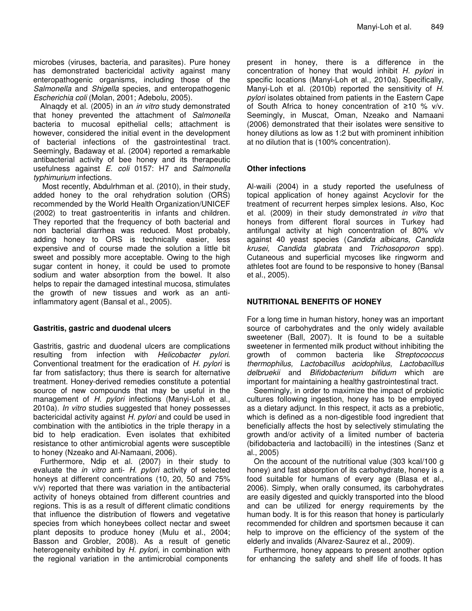microbes (viruses, bacteria, and parasites). Pure honey has demonstrated bactericidal activity against many enteropathogenic organisms, including those of the *Salmonella* and *Shigella* species, and enteropathogenic *Escherichia coli* (Molan, 2001; Adebolu, 2005).

Alnaqdy et al. (2005) in an *in vitro* study demonstrated that honey prevented the attachment of *Salmonella* bacteria to mucosal epithelial cells; attachment is however, considered the initial event in the development of bacterial infections of the gastrointestinal tract. Seemingly, Badaway et al. (2004) reported a remarkable antibacterial activity of bee honey and its therapeutic usefulness against *E. coli* 0157: H7 and *Salmonella typhimurium* infections.

Most recently, Abdulrhman et al. (2010), in their study, added honey to the oral rehydration solution (ORS) recommended by the World Health Organization/UNICEF (2002) to treat gastroenteritis in infants and children. They reported that the frequency of both bacterial and non bacterial diarrhea was reduced. Most probably, adding honey to ORS is technically easier, less expensive and of course made the solution a little bit sweet and possibly more acceptable. Owing to the high sugar content in honey, it could be used to promote sodium and water absorption from the bowel. It also helps to repair the damaged intestinal mucosa, stimulates the growth of new tissues and work as an antiinflammatory agent (Bansal et al., 2005).

#### **Gastritis, gastric and duodenal ulcers**

Gastritis, gastric and duodenal ulcers are complications resulting from infection with *Helicobacter pylori*. Conventional treatment for the eradication of *H. pylori* is far from satisfactory; thus there is search for alternative treatment. Honey-derived remedies constitute a potential source of new compounds that may be useful in the management of *H. pylori* infections (Manyi-Loh et al., 2010a). *In vitro* studies suggested that honey possesses bactericidal activity against *H. pylori* and could be used in combination with the antibiotics in the triple therapy in a bid to help eradication. Even isolates that exhibited resistance to other antimicrobial agents were susceptible to honey (Nzeako and Al-Namaani, 2006).

Furthermore, Ndip et al. (2007) in their study to evaluate the *in vitro* anti- *H. pylori* activity of selected honeys at different concentrations (10, 20, 50 and 75% v/v) reported that there was variation in the antibacterial activity of honeys obtained from different countries and regions. This is as a result of different climatic conditions that influence the distribution of flowers and vegetative species from which honeybees collect nectar and sweet plant deposits to produce honey (Mulu et al., 2004; Basson and Grobler, 2008). As a result of genetic heterogeneity exhibited by *H. pylori*, in combination with the regional variation in the antimicrobial components

present in honey, there is a difference in the concentration of honey that would inhibit *H. pylori* in specific locations (Manyi-Loh et al., 2010a). Specifically, Manyi-Loh et al. (2010b) reported the sensitivity of *H. pylori* isolates obtained from patients in the Eastern Cape of South Africa to honey concentration of  $\geq 10$  % v/v. Seemingly, in Muscat, Oman, Nzeako and Namaani (2006) demonstrated that their isolates were sensitive to honey dilutions as low as 1:2 but with prominent inhibition at no dilution that is (100% concentration).

#### **Other infections**

Al-waili (2004) in a study reported the usefulness of topical application of honey against Acyclovir for the treatment of recurrent herpes simplex lesions. Also, Koc et al. (2009) in their study demonstrated *in vitro* that honeys from different floral sources in Turkey had antifungal activity at high concentration of 80% v/v against 40 yeast species (*Candida albicans, Candida krusei, Candida glabrata* and *Trichosoporon* spp). Cutaneous and superficial mycoses like ringworm and athletes foot are found to be responsive to honey (Bansal et al., 2005).

### **NUTRITIONAL BENEFITS OF HONEY**

For a long time in human history, honey was an important source of carbohydrates and the only widely available sweetener (Ball, 2007). It is found to be a suitable sweetener in fermented milk product without inhibiting the growth of common bacteria like *Streptococcus thermophilus, Lactobacillus acidophilus, Lactobacillus delbruekii* and *Bifidobacterium bifidum* which are important for maintaining a healthy gastrointestinal tract.

Seemingly, in order to maximize the impact of probiotic cultures following ingestion, honey has to be employed as a dietary adjunct. In this respect, it acts as a prebiotic, which is defined as a non-digestible food ingredient that beneficially affects the host by selectively stimulating the growth and/or activity of a limited number of bacteria (bifidobacteria and lactobacilli) in the intestines (Sanz et al., 2005)

On the account of the nutritional value (303 kcal/100 g honey) and fast absorption of its carbohydrate, honey is a food suitable for humans of every age (Blasa et al., 2006). Simply, when orally consumed, its carbohydrates are easily digested and quickly transported into the blood and can be utilized for energy requirements by the human body. It is for this reason that honey is particularly recommended for children and sportsmen because it can help to improve on the efficiency of the system of the elderly and invalids (Alvarez-Saurez et al., 2009).

Furthermore, honey appears to present another option for enhancing the safety and shelf life of foods. It has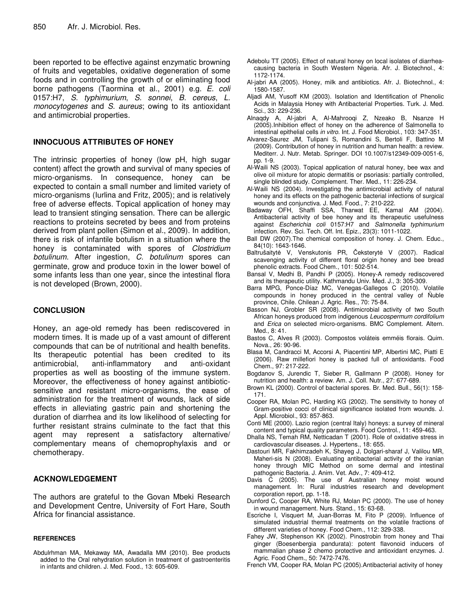been reported to be effective against enzymatic browning of fruits and vegetables, oxidative degeneration of some foods and in controlling the growth of or eliminating food borne pathogens (Taormina et al., 2001) e.g. *E. coli* 0157:H7, *S. typhimurium*, *S. sonnei*, *B. cereus*, *L. monocytogenes* and *S. aureus*; owing to its antioxidant and antimicrobial properties.

#### **INNOCUOUS ATTRIBUTES OF HONEY**

The intrinsic properties of honey (low pH, high sugar content) affect the growth and survival of many species of micro-organisms. In consequence, honey can be expected to contain a small number and limited variety of micro-organisms (Iurlina and Fritz, 2005); and is relatively free of adverse effects. Topical application of honey may lead to transient stinging sensation. There can be allergic reactions to proteins secreted by bees and from proteins derived from plant pollen (Simon et al., 2009). In addition, there is risk of infantile botulism in a situation where the honey is contaminated with spores of *Clostridium botulinum*. After ingestion, *C. botulinum* spores can germinate, grow and produce toxin in the lower bowel of some infants less than one year, since the intestinal flora is not developed (Brown, 2000).

#### **CONCLUSION**

Honey, an age-old remedy has been rediscovered in modern times. It is made up of a vast amount of different compounds that can be of nutritional and health benefits. Its therapeutic potential has been credited to its antimicrobial, anti-inflammatory and anti-oxidant properties as well as boosting of the immune system. Moreover, the effectiveness of honey against antibioticsensitive and resistant micro-organisms, the ease of administration for the treatment of wounds, lack of side effects in alleviating gastric pain and shortening the duration of diarrhea and its low likelihood of selecting for further resistant strains culminate to the fact that this agent may represent a satisfactory alternative/ complementary means of chemoprophylaxis and or chemotherapy.

#### **ACKNOWLEDGEMENT**

The authors are grateful to the Govan Mbeki Research and Development Centre, University of Fort Hare, South Africa for financial assistance.

#### **REFERENCES**

Abdulrhman MA, Mekaway MA, Awadalla MM (2010). Bee products added to the Oral rehydration solution in treatment of gastroenteritis in infants and children. J. Med. Food., 13: 605-609.

- Adebolu TT (2005). Effect of natural honey on local isolates of diarrheacausing bacteria in South Western Nigeria*.* Afr. J. Biotechnol., 4: 1172-1174.
- Al-jabri AA (2005). Honey, milk and antibiotics. Afr. J. Biotechnol., 4: 1580-1587.
- Aljadi AM, Yusoff KM (2003). Isolation and Identification of Phenolic Acids in Malaysia Honey with Antibacterial Properties. Turk. J. Med. Sci., 33: 229-236.
- Alnaqdy A, Al-jabri A, Al-Mahrooqi Z, Nzeako B, Nsanze H (2005).Inhibition effect of honey on the adherence of Salmonella to intestinal epithelial cells *in vitro*. Int. J. Food Microbiol., 103: 347-351.
- Alvarez-Saurez JM, Tulipani S, Romandini S, Bertoli F, Battino M (2009). Contribution of honey in nutrition and human health: a review. Mediterr. J. Nutr. Metab. Springer. DOI 10.1007/s12349-009-0051-6, pp. 1-9.
- Al-Waili NS (2003). Topical application of natural honey, bee wax and olive oil mixture for atopic dermatitis or psoriasis: partially controlled, single blinded study. Complement. Ther. Med., 11: 226-234.
- Al-Waili NS (2004). Investigating the antimicrobial activity of natural honey and its effects on the pathogenic bacterial infections of surgical wounds and conjunctiva. J. Med. Food., 7: 210-222.
- Badaway OFH, Shaffi SSA, Tharwat EE, Kamal AM (2004). Antibacterial activity of bee honey and its therapeutic usefulness against *Escherichia coli* 0157:H7 and *Salmonella typhimurium* infection. Rev. Sci. Tech. Off. Int. Epiz., 23(3): 1011-1022.
- Ball DW (2007).The chemical composition of honey. J. Chem. Educ., 84(10): 1643-1646.
- Baltrušaitytė V, Venskutonis PR, Čeksterytė V (2007). Radical scavenging activity of different floral origin honey and bee bread phenolic extracts. Food Chem., 101: 502-514.
- Bansal V, Medhi B, Pandhi P (2005). Honey-A remedy rediscovered and its therapeutic utility. Kathmandu Univ. Med. J., 3: 305-309.
- Barra MPG, Ponce-Díaz MC, Venegas-Gallegos C (2010). Volatile compounds in honey produced in the central valley of Ñuble province, Chile. Chilean J. Agric. Res., 70: 75-84.
- Basson NJ, Grobler SR (2008). Antimicrobial activity of two South African honeys produced from indigenous *Leucospermum cordifolium* and *Erica* on selected micro-organisms. BMC Complement. Altern. Med., 8: 41.
- Bastos C, Alves R (2003). Compostos voláteis emméis florais. Quim. Nova., 26: 90-96.
- Blasa M, Candracci M, Accorsi A, Piacentini MP, Albertini MC, Piatti E (2006). Raw millefiori honey is packed full of antioxidants. Food Chem., 97: 217-222.
- Bogdanov S, Jurendic T, Sieber R, Gallmann P (2008). Honey for nutrition and health: a review. Am. J. Coll. Nutr., 27: 677-689.
- Brown KL (2000). Control of bacterial spores. Br. Med. Bull., 56(1): 158- 171.
- Cooper RA, Molan PC, Harding KG (2002). The sensitivity to honey of Gram-positive cocci of clinical significance isolated from wounds. J. Appl. Microbiol., 93: 857-863.
- Conti ME (2000). Lazio region (central Italy) honeys: a survey of mineral content and typical quality parameters. Food Control., 11: 459-463.
- Dhalla NS, Temah RM, Netticadan T (2001). Role of oxidative stress in cardiovascular diseases. J. Hypertens., 18: 655.
- Dastouri MR, Fakhimzadeh K, Shayeg J, Dolgari-sharaf J, Valilou MR, Maheri-sis N (2008). Evaluating antibacterial activity of the iranian honey through MIC Method on some dermal and intestinal pathogenic Bacteria. J. Anim. Vet. Adv., 7: 409-412.
- Davis C (2005). The use of Australian honey moist wound management. In: Rural industries research and development corporation report, pp. 1-18.
- Dunford C, Cooper RA, White RJ, Molan PC (2000). The use of honey in wound management. Nurs. Stand., 15: 63-68.
- Escriche I, Visquert M, Juan-Borras M, Fito P (2009). Influence of simulated industrial thermal treatments on the volatile fractions of different varieties of honey. Food Chem., 112: 329-338.
- Fahey JW, Stephenson KK (2002). Pinostrobin from honey and Thai ginger (Boesenbergia pandurata): potent flavonoid inducers of mammalian phase 2 chemo protective and antioxidant enzymes. J. Agric. Food Chem., 50: 7472-7476.
- French VM, Cooper RA, Molan PC (2005).Antibacterial activity of honey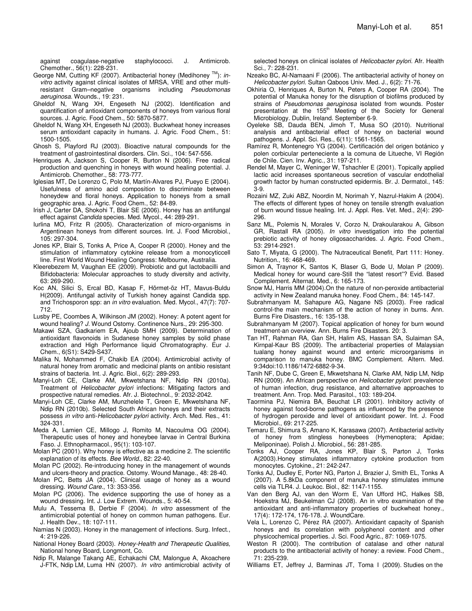against coagulase-negative staphylococci. J. Antimicrob. Chemother., 56(1): 228-231.

- George NM, Cutting KF (2007). Antibacterial honey (Medihoney TM ): *invitro* activity against clinical isolates of MRSA, VRE and other multiresistant Gram–negative organisms including *Pseudomonas aeruginosa*. Wounds., 19: 231.
- Gheldof N, Wang XH, Engeseth NJ (2002). Identification and quantification of antioxidant components of honeys from various floral sources. J. Agric. Food Chem., 50: 5870-5877.
- Gheldof N, Wang XH, Engeseth NJ (2003). Buckwheat honey increases serum antioxidant capacity in humans. J. Agric. Food Chem., 51: 1500-1505.
- Ghosh S, Playford RJ (2003). Bioactive natural compounds for the treatment of gastrointestinal disorders. Clin. Sci., 104: 547-556.
- Henriques A, Jackson S, Cooper R, Burton N (2006). Free radical production and quenching in honeys with wound healing potential. J. Antimicrob. Chemother., 58: 773-777.
- Iglesias MT, De Lorenzo C, Polo M, Martín-Alvares PJ, Pueyo E (2004). Usefulness of amino acid composition to discriminate between honeydew and floral honeys. Application to honeys from a small geographic area. J. Agric. Food Chem., 52: 84-89.
- Irish J, Carter DA, Shokohi T, Blair SE (2006). Honey has an antifungal effect against *Candida* species. Med. Mycol., 44: 289-291.
- Iurlina MO, Fritz R (2005). Characterization of micro-organisms in Argentinean honeys from different sources. Int. J. Food Microbiol., 105: 297-304.
- Jones KP, Blair S, Tonks A, Price A, Cooper R (2000). Honey and the stimulation of inflammatory cytokine release from a monocyticcell line. First World Wound Healing Congress: Melbourne, Australia.
- Kleerebezem M, Vaughan EE (2009). Probiotic and gut lactobacilli and Bifidobacteria: Molecular approaches to study diversity and activity, 63: 269-290.
- Koc AN, Silici S, Ercal BD, Kasap F, Hörmet-öz HT, Mavus-Buldu H(2009). Antifungal activity of Turkish honey against Candida spp. and Trichosporon spp: an *in vitro* evaluation. Med. Mycol., 47(7): 707- 712.
- Lusby PE, Coombes A, Wilkinson JM (2002). Honey: A potent agent for wound healing? *J.* Wound Ostomy. Continence Nurs., 29: 295-300.
- Makawi SZA, Gadkariem EA, Ajoub SMH (2009). Determination of antioxidant flavonoids in Sudanese honey samples by solid phase extraction and High Performance liquid Chromatography. Eur J. Chem., 6(S1): S429-S437.
- Malika N, Mohammed F, Chakib EA (2004). Antimicrobial activity of natural honey from aromatic and medicinal plants on antibio resistant strains of bacteria. Int. J. Agric. Biol., 6(2): 289-293.
- Manyi-Loh CE, Clarke AM, Mkwetshana NF, Ndip RN (2010a). Treatment of *Helicobacter pylori* infections: Mitigating factors and prospective natural remedies. Afr. J. Biotechnol., 9: 2032-2042.
- Manyi-Loh CE, Clarke AM, Munzhelele T, Green E, Mkwetshana NF, Ndip RN (2010b). Selected South African honeys and their extracts possess *in vitro* anti-*Helicobacter pylori* activity. Arch. Med. Res., 41: 324-331.
- Meda A, Lamien CE, Millogo J, Romito M, Nacoulma OG (2004). Therapeutic uses of honey and honeybee larvae in Central Burkina Faso. J. Ethnopharmacol., 95(1): 103-107.
- Molan PC (2001). Why honey is effective as a medicine 2. The scientific explanation of its effects. *Bee World*., 82: 22-40.
- Molan PC (2002). Re-introducing honey in the management of wounds and ulcers-theory and practice. Ostomy. Wound Manage., 48: 28-40.
- Molan PC, Betts JA (2004). Clinical usage of honey as a wound dressing. *Wound Care*., 13: 353-356.
- Molan PC (2006). The evidence supporting the use of honey as a wound dressing. Int. J. Low Extrem. Wounds., 5: 40-54.
- Mulu A, Tessema B, Derbie F (2004). *In vitro* assessment of the antimicrobial potential of honey on common human pathogens. Eur. J. Health Dev., 18: 107-111*.*
- Namias N (2003). Honey in the management of infections. Surg. Infect., 4: 219-226.
- National Honey Board (2003). *Honey-Health and Therapeutic Qualities,* National honey Board, Longmont, Co.
- Ndip R, Malange Takang AE, Echakachi CM, Malongue A, Akoachere J-FTK, Ndip LM, Luma HN (2007). *In vitro* antimicrobial activity of

selected honeys on clinical isolates of *Helicobacter pylori.* Afr. Health Sci., 7: 228-231.

- Nzeako BC, Al-Namaani F (2006). The antibacterial activity of honey on *Helicobacter pylori*. Sultan Qaboos Univ. Med. J., 6(2): 71-76.
- Okhiria O, Henriques A, Burton N, Peters A, Cooper RA (2004). The potential of Manuka honey for the disruption of biofilms produced by strains of *Pseudomonas aeruginosa* isolated from wounds. Poster presentation at the 155<sup>th</sup> Meeting of the Society for General Microbiology. Dublin, Ireland. September 6-9.
- Oyeleke SB, Dauda BEN, Jimoh T, Musa SO (2010). Nutritional analysis and antibacterial effect of honey on bacterial wound pathogens. J. Appl. Sci. Res., 6(11): 1561-1565.
- Ramírez R, Montenegro YG (2004). Certificación del origen botánico y polen corbicular perteneciente a la comuna de Litueche, VI Región de Chile. Cien. Inv. Agric., 31: 197-211.
- Rendel M, Mayer C, Weninger W, Tshachler E (2001). Topically applied lactic acid increases spontaneous secretion of vascular endothelial growth factor by human constructed epidermis. Br. J. Dermatol., 145: 3-9.
- Rozaini MZ, Zuki ABZ, Noordin M, Norimah Y, Nazrul-Hakim A (2004). The effects of different types of honey on tensile strength evaluation of burn wound tissue healing. Int. J. Appl. Res. Vet. Med., 2(4): 290- 296.
- Sanz ML, Polemis N, Morales V, Corzo N, Drakoularakou A, Gibson GR, Rastall RA (2005). *In vitro* investigation into the potential prebiotic activity of honey oligosaccharides. J. Agric. Food Chem., 53: 2914-2921.
- Sato T, Miyata, G (2000). The Nutraceutical Benefit, Part 111: Honey. Nutrition., 16: 468-469.
- Simon A, Traynor K, Santos K, Blaser G, Bode U, Molan P (2009). Medical honey for wound care-Still the "latest resort"? Evid. Based Complement. Alternat. Med., 6: 165-173.
- Snow MJ, Harris MM (2004).On the nature of non-peroxide antibacterial activity in New Zealand manuka honey. Food Chem., 84: 145-147.
- Subrahmanyam M, Sahapure AG, Nagane NS (2003). Free radical control-the main mechanism of the action of honey in burns. Ann. Burns Fire Disasters., 16: 135-138.
- Subrahmanyam M (2007). Topical application of honey for burn wound treatment-an overview. Ann. Burns Fire Disasters. 20: 3.
- Tan HT, Rahman RA, Gan SH, Halim AS, Hassan SA, Sulaiman SA, Kirnpal-Kaur BS (2009). The antibacterial properties of Malaysian tualang honey against wound and enteric microorganisms in comparison to manuka honey. BMC Complement. Altern. Med. 9:34doi:10.1186/1472-6882-9-34.
- Tanih NF, Dube C, Green E, Mkwetshana N, Clarke AM, Ndip LM, Ndip RN (2009). An African perspective on *Helicobacter pylori*: prevalence of human infection, drug resistance, and alternative approaches to treatment. Ann. Trop. Med. Parasitol., 103: 189-204.
- Taormina PJ, Niemira BA, Beuchat LR (2001). Inhibitory activity of honey against food-borne pathogens as influenced by the presence of hydrogen peroxide and level of antioxidant power. Int. J. Food Microbiol., 69: 217-225.
- Temaru E, Shimura S, Amano K, Karasawa (2007). Antibacterial activity of honey from stingless honeybees (Hymenoptera; Apidae; Meliponinae). Polish J. Microbiol., 56: 281-285.
- Tonks AJ, Cooper RA, Jones KP, Blair S, Parton J, Tonks A(2003).Honey stimulates inflammatory cytokine production from monocytes. Cytokine., 21: 242-247.
- Tonks AJ, Dudley E, Porter NG, Parton J, Brazier J, Smith EL, Tonks A (2007). A 5.8kDa component of manuka honey stimulates immune cells via TLR4. J. Leukoc. Biol., 82: 1147-1155.
- Van den Berg AJ, van den Worm E, Van Ufford HC, Halkes SB, Hoekstra MJ, Beukelman CJ (2008). An in vitro examination of the antioxidant and anti-inflammatory properties of buckwheat honey., 17(4): 172-174, 176-178. J. WoundCare.
- Vela L, Lorenzo C, Pérez RA (2007). Antioxidant capacity of Spanish honeys and its correlation with polyphenol content and other physicochemical properties. J. Sci. Food Agric., 87: 1069-1075.
- Weston R (2000). The contribution of catalase and other natural products to the antibacterial activity of honey: a review. Food Chem., 71: 235-239.
- Williams ET, Jeffrey J, Barminas JT, Toma I (2009). Studies on the